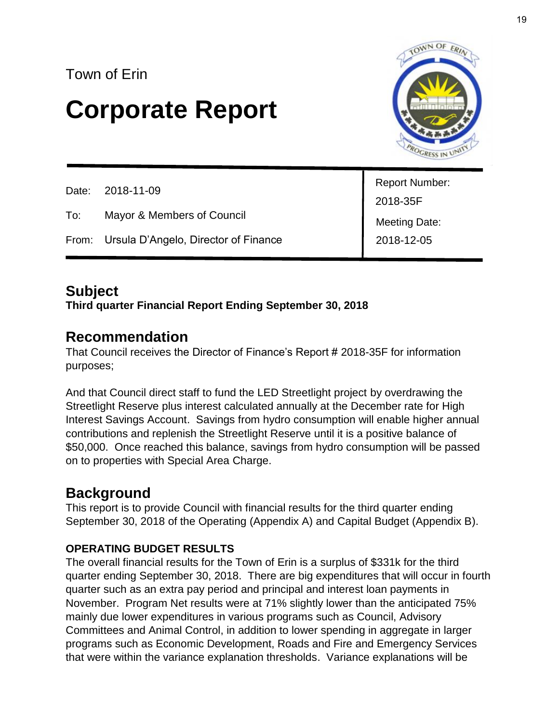# **Corporate Report**



|     | Date: 2018-11-09                           |                              |
|-----|--------------------------------------------|------------------------------|
|     |                                            | Report Number:<br>  2018-35F |
| To: | Mayor & Members of Council                 | Meeting Date:<br>2018-12-05  |
|     | From: Ursula D'Angelo, Director of Finance |                              |

#### **Subject**

**Third quarter Financial Report Ending September 30, 2018**

#### **Recommendation**

That Council receives the Director of Finance's Report # 2018-35F for information purposes;

And that Council direct staff to fund the LED Streetlight project by overdrawing the Streetlight Reserve plus interest calculated annually at the December rate for High Interest Savings Account. Savings from hydro consumption will enable higher annual contributions and replenish the Streetlight Reserve until it is a positive balance of \$50,000. Once reached this balance, savings from hydro consumption will be passed on to properties with Special Area Charge.

#### **Background**

This report is to provide Council with financial results for the third quarter ending September 30, 2018 of the Operating (Appendix A) and Capital Budget (Appendix B).

#### **OPERATING BUDGET RESULTS**

The overall financial results for the Town of Erin is a surplus of \$331k for the third quarter ending September 30, 2018. There are big expenditures that will occur in fourth quarter such as an extra pay period and principal and interest loan payments in November. Program Net results were at 71% slightly lower than the anticipated 75% mainly due lower expenditures in various programs such as Council, Advisory Committees and Animal Control, in addition to lower spending in aggregate in larger programs such as Economic Development, Roads and Fire and Emergency Services that were within the variance explanation thresholds. Variance explanations will be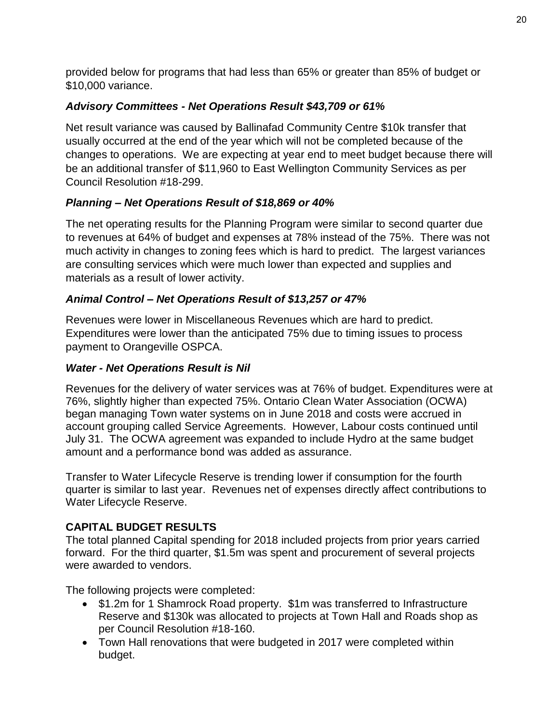provided below for programs that had less than 65% or greater than 85% of budget or \$10,000 variance.

#### *Advisory Committees - Net Operations Result \$43,709 or 61%*

Net result variance was caused by Ballinafad Community Centre \$10k transfer that usually occurred at the end of the year which will not be completed because of the changes to operations. We are expecting at year end to meet budget because there will be an additional transfer of \$11,960 to East Wellington Community Services as per Council Resolution #18-299.

#### *Planning – Net Operations Result of \$18,869 or 40%*

The net operating results for the Planning Program were similar to second quarter due to revenues at 64% of budget and expenses at 78% instead of the 75%. There was not much activity in changes to zoning fees which is hard to predict. The largest variances are consulting services which were much lower than expected and supplies and materials as a result of lower activity.

#### *Animal Control – Net Operations Result of \$13,257 or 47%*

Revenues were lower in Miscellaneous Revenues which are hard to predict. Expenditures were lower than the anticipated 75% due to timing issues to process payment to Orangeville OSPCA.

#### *Water - Net Operations Result is Nil*

Revenues for the delivery of water services was at 76% of budget. Expenditures were at 76%, slightly higher than expected 75%. Ontario Clean Water Association (OCWA) began managing Town water systems on in June 2018 and costs were accrued in account grouping called Service Agreements. However, Labour costs continued until July 31. The OCWA agreement was expanded to include Hydro at the same budget amount and a performance bond was added as assurance.

Transfer to Water Lifecycle Reserve is trending lower if consumption for the fourth quarter is similar to last year. Revenues net of expenses directly affect contributions to Water Lifecycle Reserve.

#### **CAPITAL BUDGET RESULTS**

The total planned Capital spending for 2018 included projects from prior years carried forward. For the third quarter, \$1.5m was spent and procurement of several projects were awarded to vendors.

The following projects were completed:

- \$1.2m for 1 Shamrock Road property. \$1m was transferred to Infrastructure Reserve and \$130k was allocated to projects at Town Hall and Roads shop as per Council Resolution #18-160.
- Town Hall renovations that were budgeted in 2017 were completed within budget.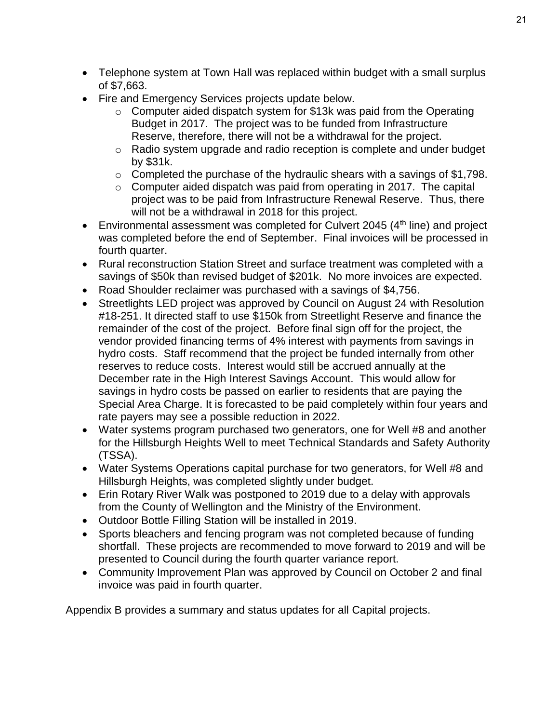- Telephone system at Town Hall was replaced within budget with a small surplus of \$7,663.
- Fire and Emergency Services projects update below.
	- o Computer aided dispatch system for \$13k was paid from the Operating Budget in 2017. The project was to be funded from Infrastructure Reserve, therefore, there will not be a withdrawal for the project.
	- o Radio system upgrade and radio reception is complete and under budget by \$31k.
	- o Completed the purchase of the hydraulic shears with a savings of \$1,798.
	- $\circ$  Computer aided dispatch was paid from operating in 2017. The capital project was to be paid from Infrastructure Renewal Reserve. Thus, there will not be a withdrawal in 2018 for this project.
- **Environmental assessment was completed for Culvert 2045 (4th line) and project** was completed before the end of September. Final invoices will be processed in fourth quarter.
- Rural reconstruction Station Street and surface treatment was completed with a savings of \$50k than revised budget of \$201k. No more invoices are expected.
- Road Shoulder reclaimer was purchased with a savings of \$4,756.
- Streetlights LED project was approved by Council on August 24 with Resolution #18-251. It directed staff to use \$150k from Streetlight Reserve and finance the remainder of the cost of the project. Before final sign off for the project, the vendor provided financing terms of 4% interest with payments from savings in hydro costs. Staff recommend that the project be funded internally from other reserves to reduce costs. Interest would still be accrued annually at the December rate in the High Interest Savings Account. This would allow for savings in hydro costs be passed on earlier to residents that are paying the Special Area Charge. It is forecasted to be paid completely within four years and rate payers may see a possible reduction in 2022.
- Water systems program purchased two generators, one for Well #8 and another for the Hillsburgh Heights Well to meet Technical Standards and Safety Authority (TSSA).
- Water Systems Operations capital purchase for two generators, for Well #8 and Hillsburgh Heights, was completed slightly under budget.
- Erin Rotary River Walk was postponed to 2019 due to a delay with approvals from the County of Wellington and the Ministry of the Environment.
- Outdoor Bottle Filling Station will be installed in 2019.
- Sports bleachers and fencing program was not completed because of funding shortfall. These projects are recommended to move forward to 2019 and will be presented to Council during the fourth quarter variance report.
- Community Improvement Plan was approved by Council on October 2 and final invoice was paid in fourth quarter.

Appendix B provides a summary and status updates for all Capital projects.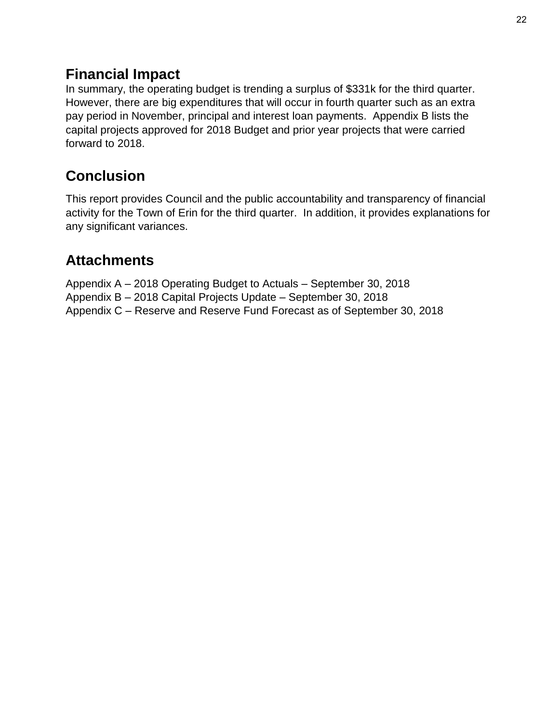#### **Financial Impact**

In summary, the operating budget is trending a surplus of \$331k for the third quarter. However, there are big expenditures that will occur in fourth quarter such as an extra pay period in November, principal and interest loan payments. Appendix B lists the capital projects approved for 2018 Budget and prior year projects that were carried forward to 2018.

### **Conclusion**

This report provides Council and the public accountability and transparency of financial activity for the Town of Erin for the third quarter. In addition, it provides explanations for any significant variances.

#### **Attachments**

Appendix A – 2018 Operating Budget to Actuals – September 30, 2018 Appendix B – 2018 Capital Projects Update – September 30, 2018 Appendix C – Reserve and Reserve Fund Forecast as of September 30, 2018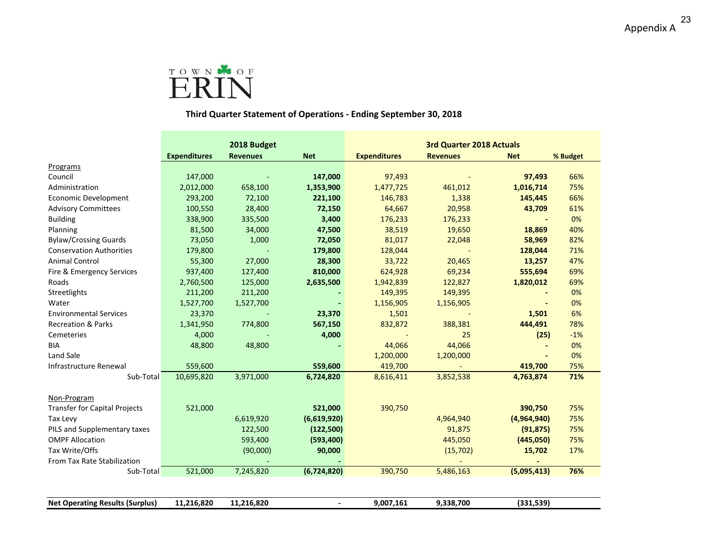

#### **Third Quarter Statement of Operations ‐ Ending September 30, 2018**

|                                        |                     | 2018 Budget     |                | 3rd Quarter 2018 Actuals |                 |             |          |
|----------------------------------------|---------------------|-----------------|----------------|--------------------------|-----------------|-------------|----------|
|                                        | <b>Expenditures</b> | <b>Revenues</b> | <b>Net</b>     | <b>Expenditures</b>      | <b>Revenues</b> | <b>Net</b>  | % Budget |
| Programs                               |                     |                 |                |                          |                 |             |          |
| Council                                | 147,000             |                 | 147,000        | 97,493                   |                 | 97,493      | 66%      |
| Administration                         | 2,012,000           | 658,100         | 1,353,900      | 1,477,725                | 461,012         | 1,016,714   | 75%      |
| Economic Development                   | 293,200             | 72,100          | 221,100        | 146,783                  | 1,338           | 145,445     | 66%      |
| <b>Advisory Committees</b>             | 100,550             | 28,400          | 72,150         | 64,667                   | 20,958          | 43,709      | 61%      |
| <b>Building</b>                        | 338,900             | 335,500         | 3,400          | 176,233                  | 176,233         |             | 0%       |
| Planning                               | 81,500              | 34,000          | 47,500         | 38,519                   | 19,650          | 18,869      | 40%      |
| <b>Bylaw/Crossing Guards</b>           | 73,050              | 1,000           | 72,050         | 81,017                   | 22,048          | 58,969      | 82%      |
| <b>Conservation Authorities</b>        | 179,800             |                 | 179,800        | 128,044                  |                 | 128,044     | 71%      |
| <b>Animal Control</b>                  | 55,300              | 27,000          | 28,300         | 33,722                   | 20,465          | 13,257      | 47%      |
| Fire & Emergency Services              | 937,400             | 127,400         | 810,000        | 624,928                  | 69,234          | 555,694     | 69%      |
| Roads                                  | 2,760,500           | 125,000         | 2,635,500      | 1,942,839                | 122,827         | 1,820,012   | 69%      |
| Streetlights                           | 211,200             | 211,200         |                | 149,395                  | 149,395         |             | 0%       |
| Water                                  | 1,527,700           | 1,527,700       |                | 1,156,905                | 1,156,905       |             | 0%       |
| <b>Environmental Services</b>          | 23,370              |                 | 23,370         | 1,501                    |                 | 1,501       | 6%       |
| <b>Recreation &amp; Parks</b>          | 1,341,950           | 774,800         | 567,150        | 832,872                  | 388,381         | 444,491     | 78%      |
| Cemeteries                             | 4,000               |                 | 4,000          |                          | 25              | (25)        | $-1%$    |
| <b>BIA</b>                             | 48,800              | 48,800          |                | 44,066                   | 44,066          |             | 0%       |
| Land Sale                              |                     |                 |                | 1,200,000                | 1,200,000       |             | 0%       |
| Infrastructure Renewal                 | 559,600             |                 | 559,600        | 419,700                  |                 | 419,700     | 75%      |
| Sub-Total                              | 10,695,820          | 3,971,000       | 6,724,820      | 8,616,411                | 3,852,538       | 4,763,874   | 71%      |
| Non-Program                            |                     |                 |                |                          |                 |             |          |
| <b>Transfer for Capital Projects</b>   | 521,000             |                 | 521,000        | 390,750                  |                 | 390,750     | 75%      |
| Tax Levy                               |                     | 6,619,920       | (6,619,920)    |                          | 4,964,940       | (4,964,940) | 75%      |
| PILS and Supplementary taxes           |                     | 122,500         | (122,500)      |                          | 91,875          | (91, 875)   | 75%      |
| <b>OMPF Allocation</b>                 |                     | 593,400         | (593, 400)     |                          | 445,050         | (445,050)   | 75%      |
| Tax Write/Offs                         |                     | (90,000)        | 90,000         |                          | (15,702)        | 15,702      | 17%      |
| From Tax Rate Stabilization            |                     |                 |                |                          |                 |             |          |
| Sub-Total                              | 521,000             | 7,245,820       | (6,724,820)    | 390,750                  | 5,486,163       | (5,095,413) | 76%      |
|                                        |                     |                 |                |                          |                 |             |          |
| <b>Net Operating Results (Surplus)</b> | 11,216,820          | 11,216,820      | $\overline{a}$ | 9,007,161                | 9,338,700       | (331, 539)  |          |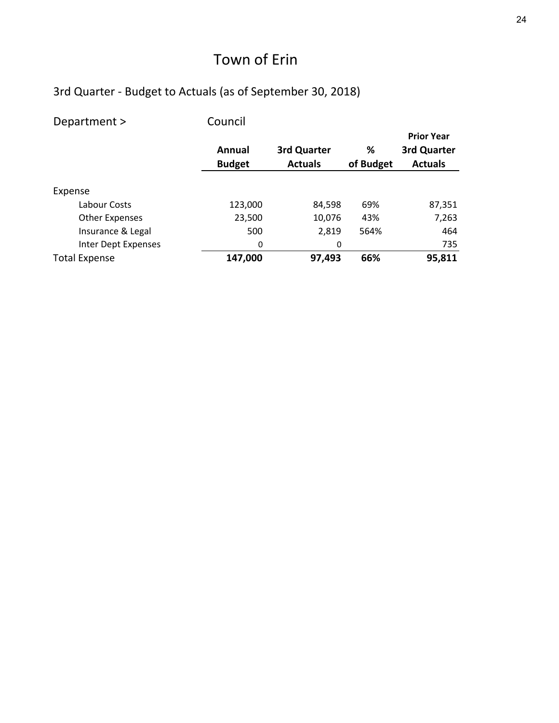| Department >          | Council       |                |           |                   |
|-----------------------|---------------|----------------|-----------|-------------------|
|                       |               |                |           | <b>Prior Year</b> |
|                       | Annual        | 3rd Quarter    | ℅         | 3rd Quarter       |
|                       | <b>Budget</b> | <b>Actuals</b> | of Budget | <b>Actuals</b>    |
|                       |               |                |           |                   |
| Expense               |               |                |           |                   |
| Labour Costs          | 123,000       | 84,598         | 69%       | 87,351            |
| <b>Other Expenses</b> | 23,500        | 10,076         | 43%       | 7,263             |
| Insurance & Legal     | 500           | 2,819          | 564%      | 464               |
| Inter Dept Expenses   | 0             | 0              |           | 735               |
| <b>Total Expense</b>  | 147,000       | 97,493         | 66%       | 95,811            |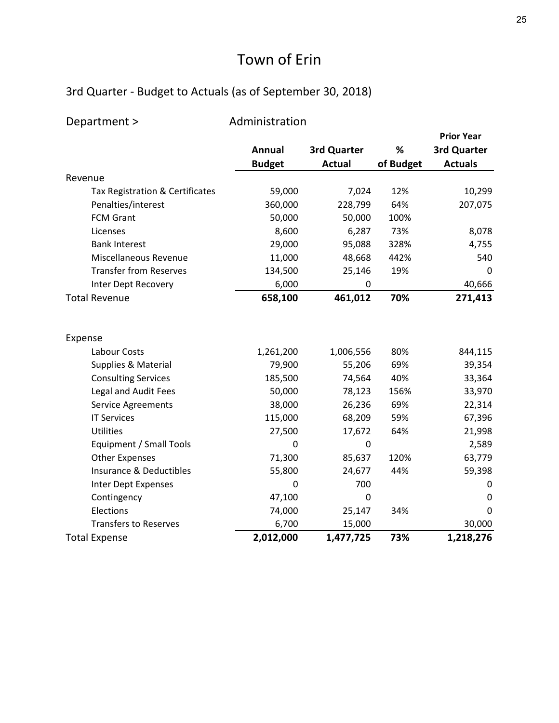| Department >                    | Administration |               |           |                   |
|---------------------------------|----------------|---------------|-----------|-------------------|
|                                 |                |               |           | <b>Prior Year</b> |
|                                 | <b>Annual</b>  | 3rd Quarter   | %         | 3rd Quarter       |
|                                 | <b>Budget</b>  | <b>Actual</b> | of Budget | <b>Actuals</b>    |
| Revenue                         |                |               |           |                   |
| Tax Registration & Certificates | 59,000         | 7,024         | 12%       | 10,299            |
| Penalties/interest              | 360,000        | 228,799       | 64%       | 207,075           |
| <b>FCM Grant</b>                | 50,000         | 50,000        | 100%      |                   |
| Licenses                        | 8,600          | 6,287         | 73%       | 8,078             |
| <b>Bank Interest</b>            | 29,000         | 95,088        | 328%      | 4,755             |
| Miscellaneous Revenue           | 11,000         | 48,668        | 442%      | 540               |
| <b>Transfer from Reserves</b>   | 134,500        | 25,146        | 19%       | 0                 |
| Inter Dept Recovery             | 6,000          | 0             |           | 40,666            |
| <b>Total Revenue</b>            | 658,100        | 461,012       | 70%       | 271,413           |
|                                 |                |               |           |                   |
| Expense                         |                |               |           |                   |
| Labour Costs                    | 1,261,200      | 1,006,556     | 80%       | 844,115           |
| Supplies & Material             | 79,900         | 55,206        | 69%       | 39,354            |
| <b>Consulting Services</b>      | 185,500        | 74,564        | 40%       | 33,364            |
| Legal and Audit Fees            | 50,000         | 78,123        | 156%      | 33,970            |
| <b>Service Agreements</b>       | 38,000         | 26,236        | 69%       | 22,314            |
| <b>IT Services</b>              | 115,000        | 68,209        | 59%       | 67,396            |
| Utilities                       | 27,500         | 17,672        | 64%       | 21,998            |
| Equipment / Small Tools         | 0              | 0             |           | 2,589             |
| <b>Other Expenses</b>           | 71,300         | 85,637        | 120%      | 63,779            |
| Insurance & Deductibles         | 55,800         | 24,677        | 44%       | 59,398            |
| Inter Dept Expenses             | 0              | 700           |           | 0                 |
| Contingency                     | 47,100         | 0             |           | 0                 |
| Elections                       | 74,000         | 25,147        | 34%       | 0                 |
| <b>Transfers to Reserves</b>    | 6,700          | 15,000        |           | 30,000            |
| <b>Total Expense</b>            | 2,012,000      | 1,477,725     | 73%       | 1,218,276         |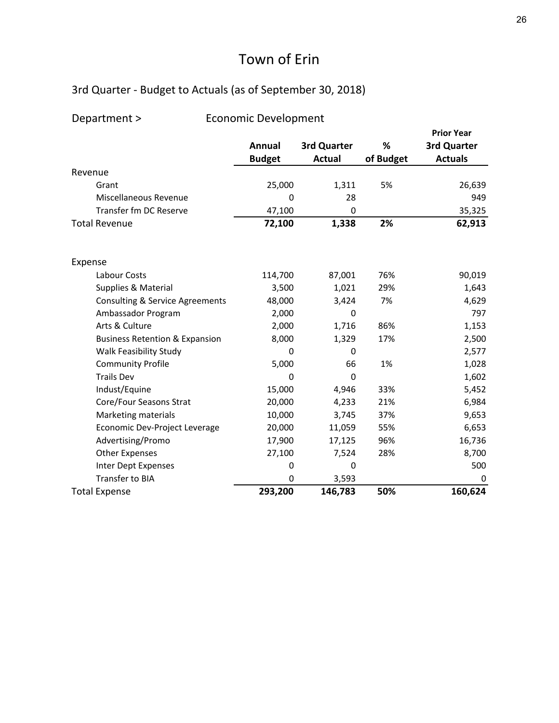#### 3rd Quarter ‐ Budget to Actuals (as of September 30, 2018)

|                                            |               |               |           | <b>Prior Year</b> |
|--------------------------------------------|---------------|---------------|-----------|-------------------|
|                                            | <b>Annual</b> | 3rd Quarter   | %         | 3rd Quarter       |
|                                            | <b>Budget</b> | <b>Actual</b> | of Budget | <b>Actuals</b>    |
| Revenue                                    |               |               |           |                   |
| Grant                                      | 25,000        | 1,311         | 5%        | 26,639            |
| Miscellaneous Revenue                      | 0             | 28            |           | 949               |
| Transfer fm DC Reserve                     | 47,100        | 0             |           | 35,325            |
| <b>Total Revenue</b>                       | 72,100        | 1,338         | 2%        | 62,913            |
| Expense                                    |               |               |           |                   |
| Labour Costs                               | 114,700       | 87,001        | 76%       | 90,019            |
| Supplies & Material                        | 3,500         | 1,021         | 29%       | 1,643             |
| <b>Consulting &amp; Service Agreements</b> | 48,000        | 3,424         | 7%        | 4,629             |
| Ambassador Program                         | 2,000         | 0             |           | 797               |
| Arts & Culture                             | 2,000         | 1,716         | 86%       | 1,153             |
| <b>Business Retention &amp; Expansion</b>  | 8,000         | 1,329         | 17%       | 2,500             |
| Walk Feasibility Study                     | 0             | 0             |           | 2,577             |
| <b>Community Profile</b>                   | 5,000         | 66            | 1%        | 1,028             |
| <b>Trails Dev</b>                          | 0             | 0             |           | 1,602             |
| Indust/Equine                              | 15,000        | 4,946         | 33%       | 5,452             |
| Core/Four Seasons Strat                    | 20,000        | 4,233         | 21%       | 6,984             |
| <b>Marketing materials</b>                 | 10,000        | 3,745         | 37%       | 9,653             |
| Economic Dev-Project Leverage              | 20,000        | 11,059        | 55%       | 6,653             |
| Advertising/Promo                          | 17,900        | 17,125        | 96%       | 16,736            |
| <b>Other Expenses</b>                      | 27,100        | 7,524         | 28%       | 8,700             |
| Inter Dept Expenses                        | $\Omega$      | 0             |           | 500               |
| <b>Transfer to BIA</b>                     | 0             | 3,593         |           | 0                 |
| <b>Total Expense</b>                       | 293,200       | 146,783       | 50%       | 160,624           |

#### Department > Economic Development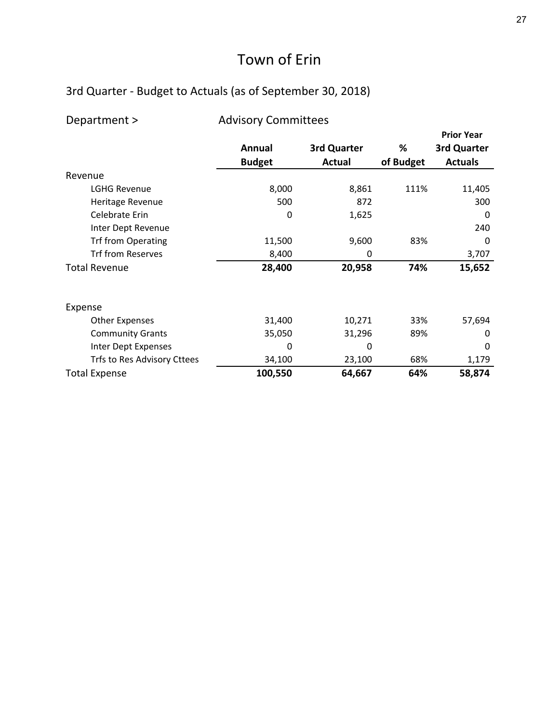#### 3rd Quarter ‐ Budget to Actuals (as of September 30, 2018)

| <b>Advisory Committees</b><br>Department > |               |             |           |                   |
|--------------------------------------------|---------------|-------------|-----------|-------------------|
|                                            |               |             |           | <b>Prior Year</b> |
|                                            | Annual        | 3rd Quarter | %         | 3rd Quarter       |
|                                            | <b>Budget</b> | Actual      | of Budget | <b>Actuals</b>    |
| Revenue                                    |               |             |           |                   |
| <b>LGHG Revenue</b>                        | 8,000         | 8,861       | 111%      | 11,405            |
| Heritage Revenue                           | 500           | 872         |           | 300               |
| Celebrate Erin                             | 0             | 1,625       |           | 0                 |
| Inter Dept Revenue                         |               |             |           | 240               |
| <b>Trf from Operating</b>                  | 11,500        | 9,600       | 83%       | 0                 |
| <b>Trf from Reserves</b>                   | 8,400         | 0           |           | 3,707             |
| <b>Total Revenue</b>                       | 28,400        | 20,958      | 74%       | 15,652            |
| Expense                                    |               |             |           |                   |
| <b>Other Expenses</b>                      | 31,400        | 10,271      | 33%       | 57,694            |
| <b>Community Grants</b>                    | 35,050        | 31,296      | 89%       | 0                 |
| Inter Dept Expenses                        | 0             | 0           |           | 0                 |
| Trfs to Res Advisory Cttees                | 34,100        | 23,100      | 68%       | 1,179             |
| <b>Total Expense</b>                       | 100,550       | 64,667      | 64%       | 58,874            |

27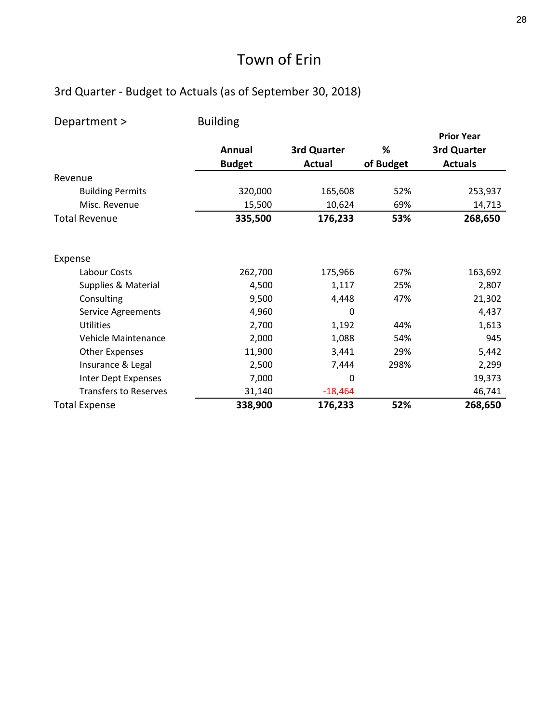| Department >                 | <b>Building</b> |               |           |                   |
|------------------------------|-----------------|---------------|-----------|-------------------|
|                              |                 |               |           | <b>Prior Year</b> |
|                              | Annual          | 3rd Quarter   | %         | 3rd Quarter       |
|                              | <b>Budget</b>   | <b>Actual</b> | of Budget | <b>Actuals</b>    |
| Revenue                      |                 |               |           |                   |
| <b>Building Permits</b>      | 320,000         | 165,608       | 52%       | 253,937           |
| Misc. Revenue                | 15,500          | 10,624        | 69%       | 14,713            |
| <b>Total Revenue</b>         | 335,500         | 176,233       | 53%       | 268,650           |
| Expense                      |                 |               |           |                   |
| Labour Costs                 | 262,700         | 175,966       | 67%       | 163,692           |
| Supplies & Material          | 4,500           | 1,117         | 25%       | 2,807             |
| Consulting                   | 9,500           | 4,448         | 47%       | 21,302            |
| Service Agreements           | 4,960           | 0             |           | 4,437             |
| Utilities                    | 2,700           | 1,192         | 44%       | 1,613             |
| Vehicle Maintenance          | 2,000           | 1,088         | 54%       | 945               |
| <b>Other Expenses</b>        | 11,900          | 3,441         | 29%       | 5,442             |
| Insurance & Legal            | 2,500           | 7,444         | 298%      | 2,299             |
| Inter Dept Expenses          | 7,000           | 0             |           | 19,373            |
| <b>Transfers to Reserves</b> | 31,140          | $-18,464$     |           | 46,741            |
| <b>Total Expense</b>         | 338,900         | 176,233       | 52%       | 268,650           |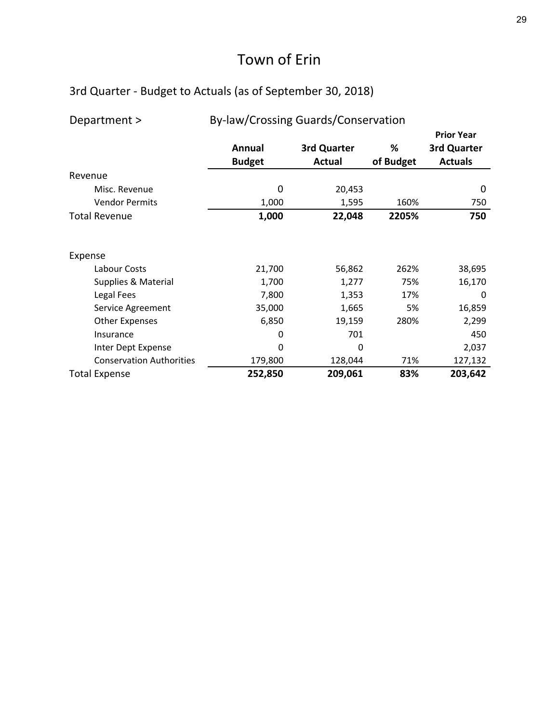| Department >                    | By-law/Crossing Guards/Conservation |                              |                |                                                    |  |
|---------------------------------|-------------------------------------|------------------------------|----------------|----------------------------------------------------|--|
|                                 | Annual<br><b>Budget</b>             | 3rd Quarter<br><b>Actual</b> | %<br>of Budget | <b>Prior Year</b><br>3rd Quarter<br><b>Actuals</b> |  |
| Revenue                         |                                     |                              |                |                                                    |  |
| Misc. Revenue                   | 0                                   | 20,453                       |                | 0                                                  |  |
| <b>Vendor Permits</b>           | 1,000                               | 1,595                        | 160%           | 750                                                |  |
| <b>Total Revenue</b>            | 1,000                               | 22,048                       | 2205%          | 750                                                |  |
| Expense                         |                                     |                              |                |                                                    |  |
| Labour Costs                    | 21,700                              | 56,862                       | 262%           | 38,695                                             |  |
| Supplies & Material             | 1,700                               | 1,277                        | 75%            | 16,170                                             |  |
| Legal Fees                      | 7,800                               | 1,353                        | 17%            | 0                                                  |  |
| Service Agreement               | 35,000                              | 1,665                        | 5%             | 16,859                                             |  |
| <b>Other Expenses</b>           | 6,850                               | 19,159                       | 280%           | 2,299                                              |  |
| Insurance                       | 0                                   | 701                          |                | 450                                                |  |
| Inter Dept Expense              | 0                                   | 0                            |                | 2,037                                              |  |
| <b>Conservation Authorities</b> | 179,800                             | 128,044                      | 71%            | 127,132                                            |  |
| <b>Total Expense</b>            | 252,850                             | 209,061                      | 83%            | 203,642                                            |  |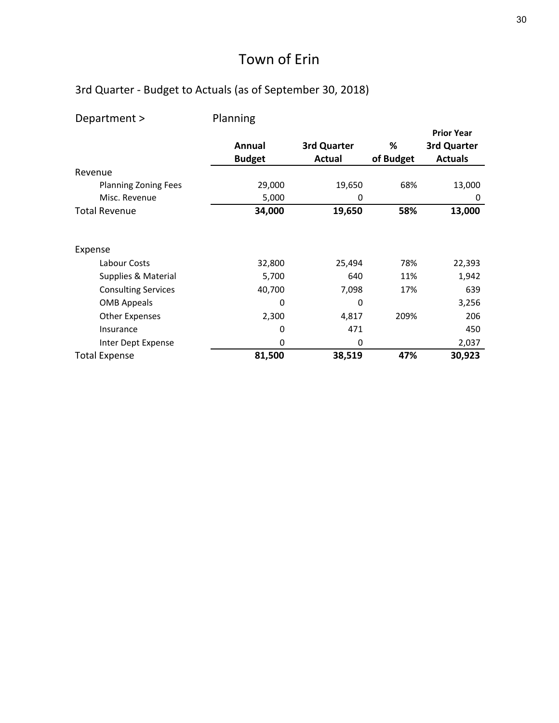| Department >                | Planning      |               |           |                   |
|-----------------------------|---------------|---------------|-----------|-------------------|
|                             |               |               |           | <b>Prior Year</b> |
|                             | Annual        | 3rd Quarter   | %         | 3rd Quarter       |
|                             | <b>Budget</b> | <b>Actual</b> | of Budget | <b>Actuals</b>    |
| Revenue                     |               |               |           |                   |
| <b>Planning Zoning Fees</b> | 29,000        | 19,650        | 68%       | 13,000            |
| Misc. Revenue               | 5,000         | 0             |           | 0                 |
| <b>Total Revenue</b>        | 34,000        | 19,650        | 58%       | 13,000            |
| Expense                     |               |               |           |                   |
| Labour Costs                | 32,800        | 25,494        | 78%       | 22,393            |
| Supplies & Material         | 5,700         | 640           | 11%       | 1,942             |
| <b>Consulting Services</b>  | 40,700        | 7,098         | 17%       | 639               |
| <b>OMB Appeals</b>          | 0             | 0             |           | 3,256             |
| <b>Other Expenses</b>       | 2,300         | 4,817         | 209%      | 206               |
| Insurance                   | 0             | 471           |           | 450               |
| Inter Dept Expense          | 0             | 0             |           | 2,037             |
| <b>Total Expense</b>        | 81,500        | 38,519        | 47%       | 30,923            |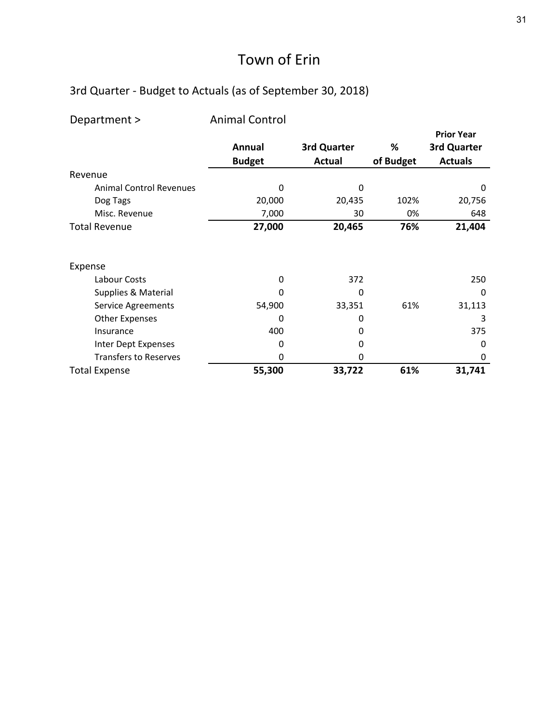| Department >                   | <b>Animal Control</b> |               |           |                   |
|--------------------------------|-----------------------|---------------|-----------|-------------------|
|                                |                       |               |           | <b>Prior Year</b> |
|                                | Annual                | 3rd Quarter   | %         | 3rd Quarter       |
|                                | <b>Budget</b>         | <b>Actual</b> | of Budget | <b>Actuals</b>    |
| Revenue                        |                       |               |           |                   |
| <b>Animal Control Revenues</b> | 0                     | $\Omega$      |           | 0                 |
| Dog Tags                       | 20,000                | 20,435        | 102%      | 20,756            |
| Misc. Revenue                  | 7,000                 | 30            | 0%        | 648               |
| <b>Total Revenue</b>           | 27,000                | 20,465        | 76%       | 21,404            |
| Expense                        |                       |               |           |                   |
| Labour Costs                   | 0                     | 372           |           | 250               |
| Supplies & Material            | 0                     | $\Omega$      |           | $\Omega$          |
| Service Agreements             | 54,900                | 33,351        | 61%       | 31,113            |
| <b>Other Expenses</b>          | 0                     | 0             |           | 3                 |
| Insurance                      | 400                   | 0             |           | 375               |
| Inter Dept Expenses            | 0                     | 0             |           | 0                 |
| <b>Transfers to Reserves</b>   | 0                     | 0             |           | 0                 |
| <b>Total Expense</b>           | 55,300                | 33,722        | 61%       | 31,741            |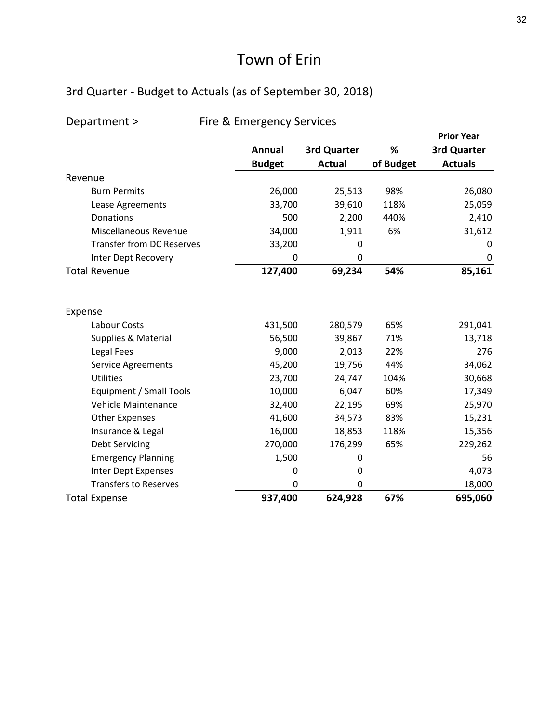#### 3rd Quarter ‐ Budget to Actuals (as of September 30, 2018)

#### Department > Fire & Emergency Services

|                                  |               |               |           | <b>Prior Year</b> |
|----------------------------------|---------------|---------------|-----------|-------------------|
|                                  | Annual        | 3rd Quarter   | %         | 3rd Quarter       |
|                                  | <b>Budget</b> | <b>Actual</b> | of Budget | <b>Actuals</b>    |
| Revenue                          |               |               |           |                   |
| <b>Burn Permits</b>              | 26,000        | 25,513        | 98%       | 26,080            |
| Lease Agreements                 | 33,700        | 39,610        | 118%      | 25,059            |
| Donations                        | 500           | 2,200         | 440%      | 2,410             |
| Miscellaneous Revenue            | 34,000        | 1,911         | 6%        | 31,612            |
| <b>Transfer from DC Reserves</b> | 33,200        | 0             |           | 0                 |
| Inter Dept Recovery              | $\Omega$      | 0             |           | 0                 |
| <b>Total Revenue</b>             | 127,400       | 69,234        | 54%       | 85,161            |
| Expense                          |               |               |           |                   |
| Labour Costs                     | 431,500       | 280,579       | 65%       | 291,041           |
| Supplies & Material              | 56,500        | 39,867        | 71%       | 13,718            |
| Legal Fees                       | 9,000         | 2,013         | 22%       | 276               |
| <b>Service Agreements</b>        | 45,200        | 19,756        | 44%       | 34,062            |
| <b>Utilities</b>                 | 23,700        | 24,747        | 104%      | 30,668            |
| Equipment / Small Tools          | 10,000        | 6,047         | 60%       | 17,349            |
| Vehicle Maintenance              | 32,400        | 22,195        | 69%       | 25,970            |
| <b>Other Expenses</b>            | 41,600        | 34,573        | 83%       | 15,231            |
| Insurance & Legal                | 16,000        | 18,853        | 118%      | 15,356            |
| <b>Debt Servicing</b>            | 270,000       | 176,299       | 65%       | 229,262           |
| <b>Emergency Planning</b>        | 1,500         | 0             |           | 56                |
| Inter Dept Expenses              | 0             | 0             |           | 4,073             |
| <b>Transfers to Reserves</b>     | 0             | 0             |           | 18,000            |
| <b>Total Expense</b>             | 937,400       | 624,928       | 67%       | 695,060           |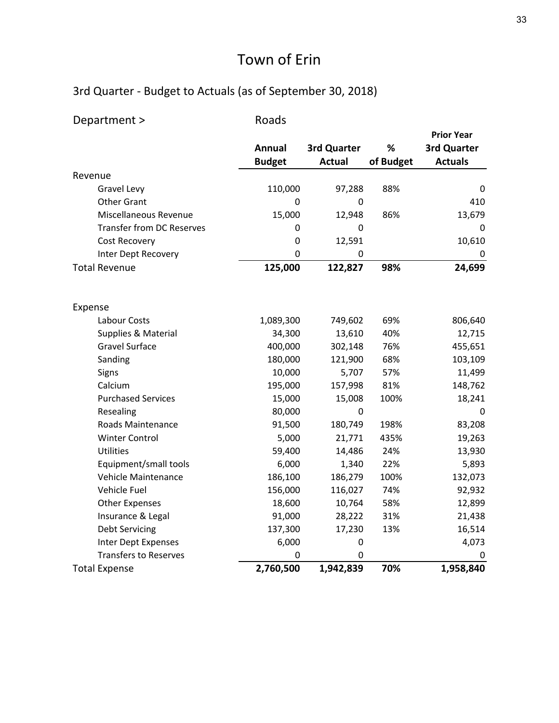| Department >                     | Roads         |               |           |                   |
|----------------------------------|---------------|---------------|-----------|-------------------|
|                                  |               |               |           | <b>Prior Year</b> |
|                                  | Annual        | 3rd Quarter   | $\%$      | 3rd Quarter       |
|                                  | <b>Budget</b> | <b>Actual</b> | of Budget | <b>Actuals</b>    |
| Revenue                          |               |               |           |                   |
| Gravel Levy                      | 110,000       | 97,288        | 88%       | 0                 |
| <b>Other Grant</b>               | 0             | 0             |           | 410               |
| Miscellaneous Revenue            | 15,000        | 12,948        | 86%       | 13,679            |
| <b>Transfer from DC Reserves</b> | 0             | 0             |           | 0                 |
| Cost Recovery                    | $\pmb{0}$     | 12,591        |           | 10,610            |
| Inter Dept Recovery              | 0             | $\mathbf 0$   |           | 0                 |
| <b>Total Revenue</b>             | 125,000       | 122,827       | 98%       | 24,699            |
| Expense                          |               |               |           |                   |
| Labour Costs                     | 1,089,300     | 749,602       | 69%       | 806,640           |
| Supplies & Material              | 34,300        | 13,610        | 40%       | 12,715            |
| <b>Gravel Surface</b>            | 400,000       | 302,148       | 76%       | 455,651           |
| Sanding                          | 180,000       | 121,900       | 68%       | 103,109           |
| Signs                            | 10,000        | 5,707         | 57%       | 11,499            |
| Calcium                          | 195,000       | 157,998       | 81%       | 148,762           |
| <b>Purchased Services</b>        | 15,000        | 15,008        | 100%      | 18,241            |
| Resealing                        | 80,000        | 0             |           | 0                 |
| Roads Maintenance                | 91,500        | 180,749       | 198%      | 83,208            |
| <b>Winter Control</b>            | 5,000         | 21,771        | 435%      | 19,263            |
| <b>Utilities</b>                 | 59,400        | 14,486        | 24%       | 13,930            |
| Equipment/small tools            | 6,000         | 1,340         | 22%       | 5,893             |
| Vehicle Maintenance              | 186,100       | 186,279       | 100%      | 132,073           |
| Vehicle Fuel                     | 156,000       | 116,027       | 74%       | 92,932            |
| <b>Other Expenses</b>            | 18,600        | 10,764        | 58%       | 12,899            |
| Insurance & Legal                | 91,000        | 28,222        | 31%       | 21,438            |
| <b>Debt Servicing</b>            | 137,300       | 17,230        | 13%       | 16,514            |
| Inter Dept Expenses              | 6,000         | 0             |           | 4,073             |
| <b>Transfers to Reserves</b>     | 0             | 0             |           | 0                 |
| <b>Total Expense</b>             | 2,760,500     | 1,942,839     | 70%       | 1,958,840         |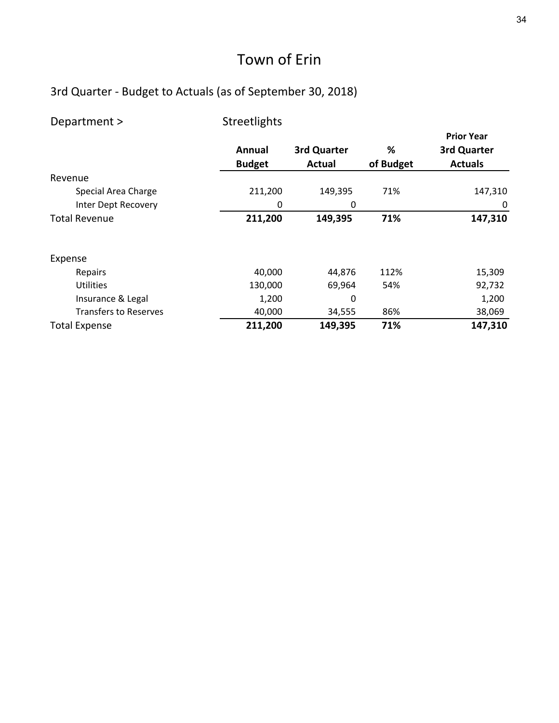| Department >                 | Streetlights            |                       |                |                                                    |
|------------------------------|-------------------------|-----------------------|----------------|----------------------------------------------------|
|                              | Annual<br><b>Budget</b> | 3rd Quarter<br>Actual | %<br>of Budget | <b>Prior Year</b><br>3rd Quarter<br><b>Actuals</b> |
| Revenue                      |                         |                       |                |                                                    |
| Special Area Charge          | 211,200                 | 149,395               | 71%            | 147,310                                            |
| Inter Dept Recovery          | 0                       | 0                     |                | 0                                                  |
| <b>Total Revenue</b>         | 211,200                 | 149,395               | 71%            | 147,310                                            |
| Expense                      |                         |                       |                |                                                    |
| Repairs                      | 40,000                  | 44,876                | 112%           | 15,309                                             |
| <b>Utilities</b>             | 130,000                 | 69,964                | 54%            | 92,732                                             |
| Insurance & Legal            | 1,200                   | 0                     |                | 1,200                                              |
| <b>Transfers to Reserves</b> | 40,000                  | 34,555                | 86%            | 38,069                                             |
| <b>Total Expense</b>         | 211,200                 | 149,395               | 71%            | 147,310                                            |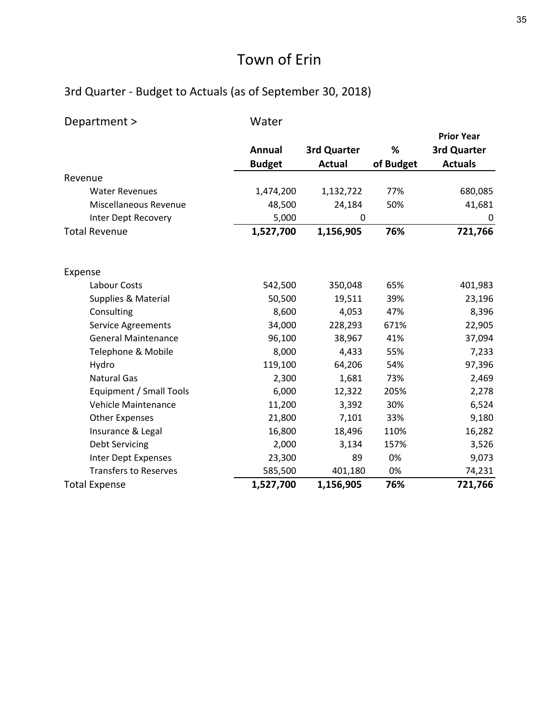| Department >                 | Water         |               |           |                   |
|------------------------------|---------------|---------------|-----------|-------------------|
|                              |               |               |           | <b>Prior Year</b> |
|                              | <b>Annual</b> | 3rd Quarter   | %         | 3rd Quarter       |
|                              | <b>Budget</b> | <b>Actual</b> | of Budget | <b>Actuals</b>    |
| Revenue                      |               |               |           |                   |
| <b>Water Revenues</b>        | 1,474,200     | 1,132,722     | 77%       | 680,085           |
| Miscellaneous Revenue        | 48,500        | 24,184        | 50%       | 41,681            |
| Inter Dept Recovery          | 5,000         | 0             |           | 0                 |
| <b>Total Revenue</b>         | 1,527,700     | 1,156,905     | 76%       | 721,766           |
| Expense                      |               |               |           |                   |
| Labour Costs                 | 542,500       | 350,048       | 65%       | 401,983           |
| Supplies & Material          | 50,500        | 19,511        | 39%       | 23,196            |
| Consulting                   | 8,600         | 4,053         | 47%       | 8,396             |
| <b>Service Agreements</b>    | 34,000        | 228,293       | 671%      | 22,905            |
| <b>General Maintenance</b>   | 96,100        | 38,967        | 41%       | 37,094            |
| Telephone & Mobile           | 8,000         | 4,433         | 55%       | 7,233             |
| Hydro                        | 119,100       | 64,206        | 54%       | 97,396            |
| <b>Natural Gas</b>           | 2,300         | 1,681         | 73%       | 2,469             |
| Equipment / Small Tools      | 6,000         | 12,322        | 205%      | 2,278             |
| Vehicle Maintenance          | 11,200        | 3,392         | 30%       | 6,524             |
| <b>Other Expenses</b>        | 21,800        | 7,101         | 33%       | 9,180             |
| Insurance & Legal            | 16,800        | 18,496        | 110%      | 16,282            |
| <b>Debt Servicing</b>        | 2,000         | 3,134         | 157%      | 3,526             |
| Inter Dept Expenses          | 23,300        | 89            | 0%        | 9,073             |
| <b>Transfers to Reserves</b> | 585,500       | 401,180       | 0%        | 74,231            |
| <b>Total Expense</b>         | 1,527,700     | 1,156,905     | 76%       | 721,766           |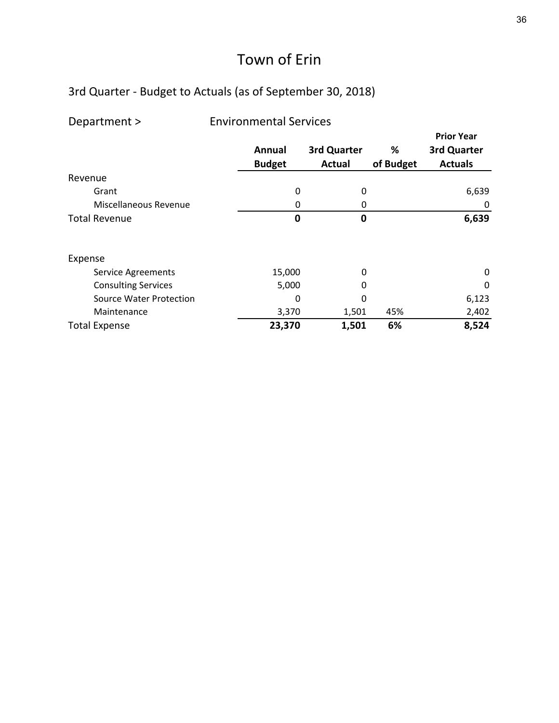| Department >                   | <b>Environmental Services</b> |                       |                |                                                    |  |  |  |  |
|--------------------------------|-------------------------------|-----------------------|----------------|----------------------------------------------------|--|--|--|--|
|                                | Annual<br><b>Budget</b>       | 3rd Quarter<br>Actual | %<br>of Budget | <b>Prior Year</b><br>3rd Quarter<br><b>Actuals</b> |  |  |  |  |
| Revenue                        |                               |                       |                |                                                    |  |  |  |  |
| Grant                          | 0                             | 0                     |                | 6,639                                              |  |  |  |  |
| Miscellaneous Revenue          | 0                             | 0                     |                | 0                                                  |  |  |  |  |
| <b>Total Revenue</b>           | 0                             | 0                     |                | 6,639                                              |  |  |  |  |
| Expense                        |                               |                       |                |                                                    |  |  |  |  |
| <b>Service Agreements</b>      | 15,000                        | 0                     |                | 0                                                  |  |  |  |  |
| <b>Consulting Services</b>     | 5,000                         | O                     |                | 0                                                  |  |  |  |  |
| <b>Source Water Protection</b> | 0                             | 0                     |                | 6,123                                              |  |  |  |  |
| Maintenance                    | 3,370                         | 1,501                 | 45%            | 2,402                                              |  |  |  |  |
| <b>Total Expense</b>           | 23,370                        | 1,501                 | 6%             | 8,524                                              |  |  |  |  |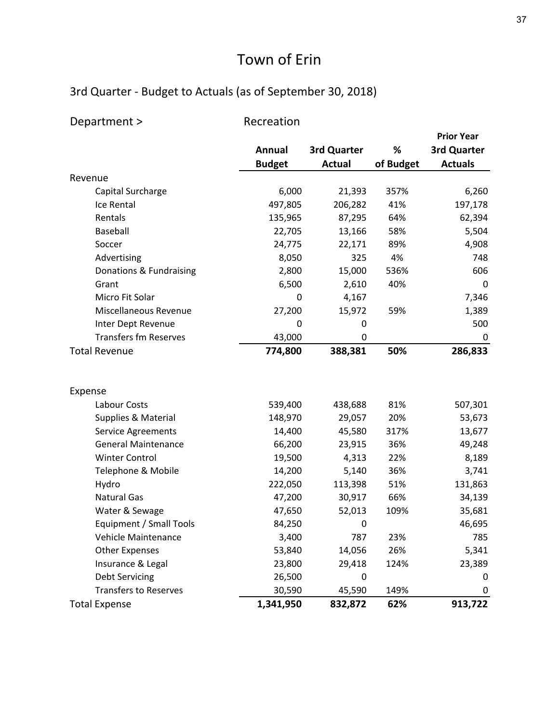| Department >                 | Recreation    |               |           |                   |
|------------------------------|---------------|---------------|-----------|-------------------|
|                              |               |               |           | <b>Prior Year</b> |
|                              | Annual        | 3rd Quarter   | %         | 3rd Quarter       |
|                              | <b>Budget</b> | <b>Actual</b> | of Budget | <b>Actuals</b>    |
| Revenue                      |               |               |           |                   |
| Capital Surcharge            | 6,000         | 21,393        | 357%      | 6,260             |
| Ice Rental                   | 497,805       | 206,282       | 41%       | 197,178           |
| Rentals                      | 135,965       | 87,295        | 64%       | 62,394            |
| Baseball                     | 22,705        | 13,166        | 58%       | 5,504             |
| Soccer                       | 24,775        | 22,171        | 89%       | 4,908             |
| Advertising                  | 8,050         | 325           | 4%        | 748               |
| Donations & Fundraising      | 2,800         | 15,000        | 536%      | 606               |
| Grant                        | 6,500         | 2,610         | 40%       | 0                 |
| Micro Fit Solar              | 0             | 4,167         |           | 7,346             |
| Miscellaneous Revenue        | 27,200        | 15,972        | 59%       | 1,389             |
| Inter Dept Revenue           | 0             | 0             |           | 500               |
| <b>Transfers fm Reserves</b> | 43,000        | 0             |           | 0                 |
| <b>Total Revenue</b>         | 774,800       | 388,381       | 50%       | 286,833           |
|                              |               |               |           |                   |
| Expense                      |               |               |           |                   |
| Labour Costs                 | 539,400       | 438,688       | 81%       | 507,301           |
| Supplies & Material          | 148,970       | 29,057        | 20%       | 53,673            |
| <b>Service Agreements</b>    | 14,400        | 45,580        | 317%      | 13,677            |
| <b>General Maintenance</b>   | 66,200        | 23,915        | 36%       | 49,248            |
| <b>Winter Control</b>        | 19,500        | 4,313         | 22%       | 8,189             |
| Telephone & Mobile           | 14,200        | 5,140         | 36%       | 3,741             |
| Hydro                        | 222,050       | 113,398       | 51%       | 131,863           |
| <b>Natural Gas</b>           | 47,200        | 30,917        | 66%       | 34,139            |
| Water & Sewage               | 47,650        | 52,013        | 109%      | 35,681            |
| Equipment / Small Tools      | 84,250        | 0             |           | 46,695            |
| Vehicle Maintenance          | 3,400         | 787           | 23%       | 785               |
| <b>Other Expenses</b>        | 53,840        | 14,056        | 26%       | 5,341             |
| Insurance & Legal            | 23,800        | 29,418        | 124%      | 23,389            |
| <b>Debt Servicing</b>        | 26,500        | 0             |           | 0                 |
| <b>Transfers to Reserves</b> | 30,590        | 45,590        | 149%      | 0                 |
| <b>Total Expense</b>         | 1,341,950     | 832,872       | 62%       | 913,722           |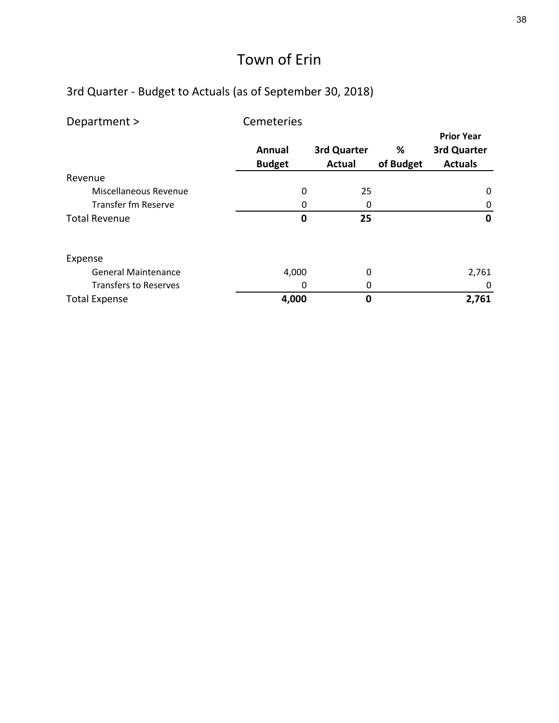| Department >                 | Cemeteries    |               |           |                   |
|------------------------------|---------------|---------------|-----------|-------------------|
|                              |               |               |           | <b>Prior Year</b> |
|                              | <b>Annual</b> | 3rd Quarter   | %         | 3rd Quarter       |
|                              | <b>Budget</b> | <b>Actual</b> | of Budget | <b>Actuals</b>    |
| Revenue                      |               |               |           |                   |
| Miscellaneous Revenue        | 0             | 25            |           | 0                 |
| <b>Transfer fm Reserve</b>   | 0             | 0             |           | 0                 |
| <b>Total Revenue</b>         | 0             | 25            |           | $\mathbf 0$       |
| Expense                      |               |               |           |                   |
| <b>General Maintenance</b>   | 4,000         | 0             |           | 2,761             |
| <b>Transfers to Reserves</b> | 0             | 0             |           | 0                 |
| <b>Total Expense</b>         | 4,000         | 0             |           | 2,761             |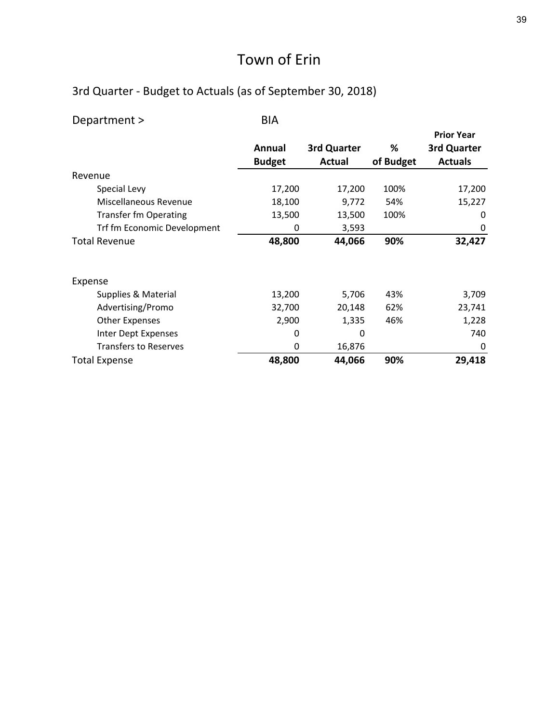| Department >                 | <b>BIA</b>    |             |           |                   |
|------------------------------|---------------|-------------|-----------|-------------------|
|                              |               |             |           | <b>Prior Year</b> |
|                              | Annual        | 3rd Quarter | %         | 3rd Quarter       |
|                              | <b>Budget</b> | Actual      | of Budget | <b>Actuals</b>    |
| Revenue                      |               |             |           |                   |
| Special Levy                 | 17,200        | 17,200      | 100%      | 17,200            |
| Miscellaneous Revenue        | 18,100        | 9,772       | 54%       | 15,227            |
| <b>Transfer fm Operating</b> | 13,500        | 13,500      | 100%      | 0                 |
| Trf fm Economic Development  | 0             | 3,593       |           | 0                 |
| <b>Total Revenue</b>         | 48,800        | 44,066      | 90%       | 32,427            |
| Expense                      |               |             |           |                   |
| Supplies & Material          | 13,200        | 5,706       | 43%       | 3,709             |
| Advertising/Promo            | 32,700        | 20,148      | 62%       | 23,741            |
| <b>Other Expenses</b>        | 2,900         | 1,335       | 46%       | 1,228             |
| Inter Dept Expenses          | 0             | 0           |           | 740               |
| <b>Transfers to Reserves</b> | 0             | 16,876      |           | 0                 |
| <b>Total Expense</b>         | 48,800        | 44,066      | 90%       | 29,418            |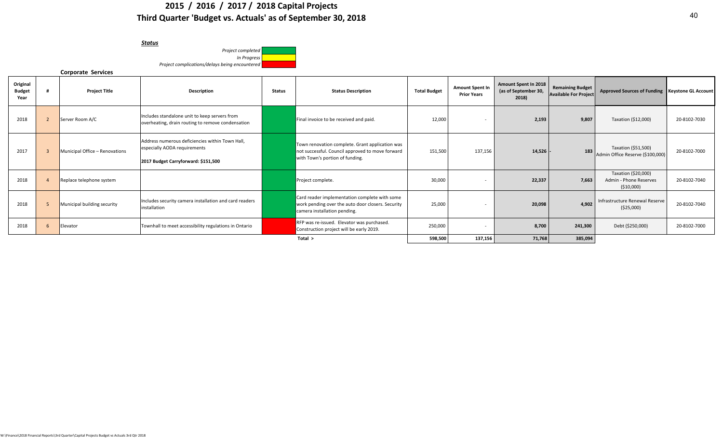#### **2015 / 2016 / 2017 / 2018 Capital Projects Third Quarter 'Budget vs. Actuals' as of September 30, 2018**

| Status                                         |  |
|------------------------------------------------|--|
| Project completed                              |  |
| In Progress                                    |  |
| Project complications/delays being encountered |  |
|                                                |  |

#### **Corporate Services**

| Original<br><b>Budget</b><br>Year | <b>Project Title</b>           | Description                                                                                                            | <b>Status</b> | <b>Status Description</b>                                                                                                              | <b>Total Budget</b> | <b>Amount Spent In</b><br><b>Prior Years</b> | <b>Amount Spent In 2018</b><br>(as of September 30,<br>2018) | <b>Remaining Budget</b><br><b>Available For Project</b> | Approved Sources of Funding Keystone GL Account              |              |
|-----------------------------------|--------------------------------|------------------------------------------------------------------------------------------------------------------------|---------------|----------------------------------------------------------------------------------------------------------------------------------------|---------------------|----------------------------------------------|--------------------------------------------------------------|---------------------------------------------------------|--------------------------------------------------------------|--------------|
| 2018                              | Server Room A/C                | Includes standalone unit to keep servers from<br>overheating, drain routing to remove condensation                     |               | Final invoice to be received and paid.                                                                                                 | 12,000              |                                              | 2,193                                                        | 9,807                                                   | Taxation (\$12,000)                                          | 20-8102-7030 |
| 2017                              | Municipal Office - Renovations | Address numerous deficiencies within Town Hall,<br>especially AODA requirements<br>2017 Budget Carryforward: \$151,500 |               | Town renovation complete. Grant application was<br>not successful. Council approved to move forward<br>with Town's portion of funding. | 151,500             | 137,156                                      | 14,526                                                       | 183                                                     | Taxation (\$51,500)<br>Admin Office Reserve (\$100,000)      | 20-8102-7000 |
| 2018                              | Replace telephone system       |                                                                                                                        |               | Project complete.                                                                                                                      | 30,000              |                                              | 22,337                                                       | 7.663                                                   | Taxation (\$20,000)<br>Admin - Phone Reserves<br>( \$10,000] | 20-8102-7040 |
| 2018                              | Municipal building security    | Includes security camera installation and card readers<br>installation                                                 |               | Card reader implementation complete with some<br>work pending over the auto door closers. Security<br>camera installation pending.     | 25,000              |                                              | 20,098                                                       | 4.902                                                   | Infrastructure Renewal Reserve<br>( \$25,000)                | 20-8102-7040 |
| 2018                              | Elevator                       | Townhall to meet accessibility regulations in Ontario                                                                  |               | RFP was re-issued. Elevator was purchased.<br>Construction project will be early 2019.                                                 | 250,000             |                                              | 8,700                                                        | 241,300                                                 | Debt (\$250,000)                                             | 20-8102-7000 |
|                                   |                                |                                                                                                                        |               | Total >                                                                                                                                | 598,500             | 137,156                                      | 71,768                                                       | 385,094                                                 |                                                              |              |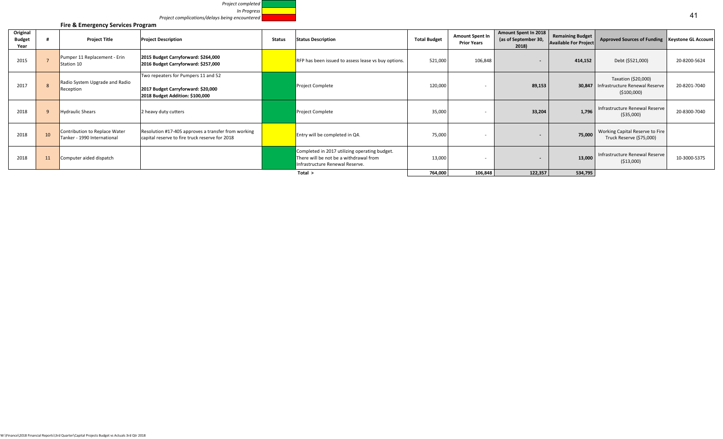| Project completed                              |
|------------------------------------------------|
| In Progress                                    |
| Project complications/delays being encountered |

|                                   |                 | Fire & Emergency Services Program                            |                                                                                                              |        |                                                                                                                            |                     |                                       |                                                       |                                                         |                                                                       |              |
|-----------------------------------|-----------------|--------------------------------------------------------------|--------------------------------------------------------------------------------------------------------------|--------|----------------------------------------------------------------------------------------------------------------------------|---------------------|---------------------------------------|-------------------------------------------------------|---------------------------------------------------------|-----------------------------------------------------------------------|--------------|
| Original<br><b>Budget</b><br>Year |                 | <b>Project Title</b>                                         | <b>Project Description</b>                                                                                   | Status | <b>Status Description</b>                                                                                                  | <b>Total Budget</b> | Amount Spent In<br><b>Prior Years</b> | Amount Spent In 2018<br>(as of September 30,<br>2018) | <b>Remaining Budget</b><br><b>Available For Project</b> | Approved Sources of Funding   Keystone GL Account                     |              |
| 2015                              |                 | Pumper 11 Replacement - Erin<br>Station 10                   | 2015 Budget Carryforward: \$264,000<br>2016 Budget Carryforward: \$257,000                                   |        | RFP has been issued to assess lease vs buy options.                                                                        | 521,000             | 106,848                               | $\sim$                                                | 414,152                                                 | Debt (\$521,000)                                                      | 20-8200-5624 |
| 2017                              |                 | Radio System Upgrade and Radio<br>Reception                  | Two repeaters for Pumpers 11 and 52<br>2017 Budget Carryforward: \$20,000<br>2018 Budget Addition: \$100,000 |        | Project Complete                                                                                                           | 120,000             |                                       | 89,153                                                | 30,847                                                  | Taxation (\$20,000)<br>Infrastructure Renewal Reserve<br>( \$100,000) | 20-8201-7040 |
| 2018                              |                 | <b>Hydraulic Shears</b>                                      | 2 heavy duty cutters                                                                                         |        | <b>Project Complete</b>                                                                                                    | 35,000              |                                       | 33,204                                                | 1.796                                                   | Infrastructure Renewal Reserve<br>( \$35,000)                         | 20-8300-7040 |
| 2018                              | 10 <sup>1</sup> | Contribution to Replace Water<br>Tanker - 1990 International | Resolution #17-405 approves a transfer from working<br>capital reserve to fire truck reserve for 2018        |        | Entry will be completed in Q4.                                                                                             | 75,000              |                                       | $\overline{\phantom{0}}$                              | 75,000                                                  | Working Capital Reserve to Fire<br>Truck Reserve (\$75,000)           |              |
| 2018                              | 11              | Computer aided dispatch                                      |                                                                                                              |        | Completed in 2017 utilizing operating budget.<br>There will be not be a withdrawal from<br>Infrastructure Renewal Reserve. | 13,000              |                                       | $\overline{\phantom{0}}$                              | 13,000                                                  | Infrastructure Renewal Reserve<br>( \$13,000)                         | 10-3000-5375 |
|                                   |                 |                                                              |                                                                                                              |        | Total >                                                                                                                    | 764,000             | 106,848                               | 122,357                                               | 534,795                                                 |                                                                       |              |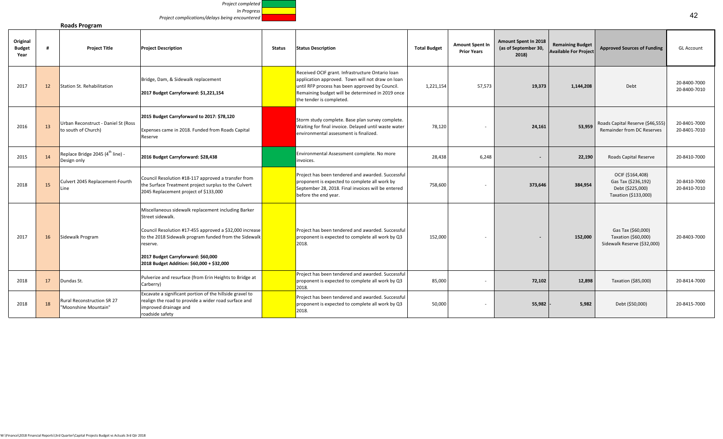

**Roads Program**

| Original<br><b>Budget</b><br>Year |    | <b>Project Title</b>                                        | <b>Project Description</b>                                                                                                                                                                                                                                                                 | <b>Status</b> | <b>Status Description</b>                                                                                                                                                                                                               | <b>Total Budget</b> | <b>Amount Spent In</b><br><b>Prior Years</b> | Amount Spent In 2018<br>(as of September 30,<br>2018) | <b>Remaining Budget</b><br><b>Available For Project</b> | <b>Approved Sources of Funding</b>                                                  | <b>GL Account</b>            |
|-----------------------------------|----|-------------------------------------------------------------|--------------------------------------------------------------------------------------------------------------------------------------------------------------------------------------------------------------------------------------------------------------------------------------------|---------------|-----------------------------------------------------------------------------------------------------------------------------------------------------------------------------------------------------------------------------------------|---------------------|----------------------------------------------|-------------------------------------------------------|---------------------------------------------------------|-------------------------------------------------------------------------------------|------------------------------|
| 2017                              | 12 | <b>Station St. Rehabilitation</b>                           | Bridge, Dam, & Sidewalk replacement<br>2017 Budget Carryforward: \$1,221,154                                                                                                                                                                                                               |               | Received OCIF grant. Infrastructure Ontario loan<br>application approved. Town will not draw on loan<br>until RFP process has been approved by Council.<br>Remaining budget will be determined in 2019 once<br>the tender is completed. | 1,221,154           | 57,573                                       | 19,373                                                | 1,144,208                                               | Debt                                                                                | 20-8400-7000<br>20-8400-7010 |
| 2016                              | 13 | Urban Reconstruct - Daniel St (Ross<br>to south of Church)  | 2015 Budget Carryforward to 2017: \$78,120<br>Expenses came in 2018. Funded from Roads Capital<br>Reserve                                                                                                                                                                                  |               | Storm study complete. Base plan survey complete.<br>Waiting for final invoice. Delayed until waste water<br>environmental assessment is finalized.                                                                                      | 78,120              |                                              | 24,161                                                | 53,959                                                  | Roads Capital Reserve (\$46,555)<br>Remainder from DC Reserves                      | 20-8401-7000<br>20-8401-7010 |
| 2015                              | 14 | Replace Bridge 2045 (4 <sup>th</sup> line) -<br>Design only | 2016 Budget Carryforward: \$28,438                                                                                                                                                                                                                                                         |               | Environmental Assessment complete. No more<br>invoices.                                                                                                                                                                                 | 28,438              | 6,248                                        | $\sim$                                                | 22,190                                                  | Roads Capital Reserve                                                               | 20-8410-7000                 |
| 2018                              | 15 | Culvert 2045 Replacement-Fourth<br>Line                     | Council Resolution #18-117 approved a transfer from<br>the Surface Treatment project surplus to the Culvert<br>2045 Replacement project of \$133,000                                                                                                                                       |               | Project has been tendered and awarded. Successful<br>proponent is expected to complete all work by<br>September 28, 2018. Final invoices will be entered<br>before the end year.                                                        | 758,600             |                                              | 373,646                                               | 384,954                                                 | OCIF (\$164,408)<br>Gas Tax (\$236,192)<br>Debt (\$225,000)<br>Taxation (\$133,000) | 20-8410-7000<br>20-8410-7010 |
| 2017                              | 16 | Sidewalk Program                                            | Miscellaneous sidewalk replacement including Barker<br>Street sidewalk.<br>Council Resolution #17-455 approved a \$32,000 increase<br>to the 2018 Sidewalk program funded from the Sidewalk<br>reserve.<br>2017 Budget Carryforward: \$60,000<br>2018 Budget Addition: \$60,000 + \$32,000 |               | Project has been tendered and awarded. Successful<br>proponent is expected to complete all work by Q3<br>2018.                                                                                                                          | 152,000             |                                              | $\overline{\phantom{a}}$                              | 152,000                                                 | Gas Tax (\$60,000)<br>Taxation (\$60,000)<br>Sidewalk Reserve (\$32,000)            | 20-8403-7000                 |
| 2018                              | 17 | Dundas St.                                                  | Pulverize and resurface (from Erin Heights to Bridge at<br>Carberry)                                                                                                                                                                                                                       |               | Project has been tendered and awarded. Successful<br>proponent is expected to complete all work by Q3<br>2018.                                                                                                                          | 85,000              |                                              | 72,102                                                | 12,898                                                  | Taxation (\$85,000)                                                                 | 20-8414-7000                 |
| 2018                              | 18 | Rural Reconstruction SR 27<br>"Moonshine Mountain"          | Excavate a significant portion of the hillside gravel to<br>realign the road to provide a wider road surface and<br>improved drainage and<br>roadside safety                                                                                                                               |               | Project has been tendered and awarded. Successful<br>proponent is expected to complete all work by Q3<br>2018.                                                                                                                          | 50,000              |                                              | 55,982                                                | 5,982                                                   | Debt (\$50,000)                                                                     | 20-8415-7000                 |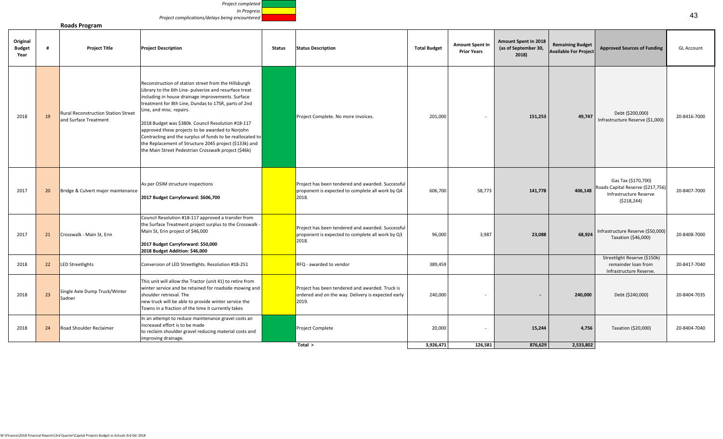| Project completed                              |  |
|------------------------------------------------|--|
| In Progress                                    |  |
| Project complications/delays being encountered |  |

#### **Roads Program**

| Reconstruction of station street from the Hillsburgh<br>Library to the 6th Line- pulverize and resurface treat<br>including in house drainage improvements. Surface<br>treatment for 8th Line, Dundas to 17SR, parts of 2nd<br>Line, and misc. repairs.<br><b>Rural Reconstruction Station Street</b><br>Debt (\$200,000)<br>19<br>201,000<br>2018<br>Project Complete. No more invoices.<br>151,253<br>49,747<br>and Surface Treatment<br>Infrastructure Reserve (\$1,000)<br>2018 Budget was \$380k. Council Resolution #18-117<br>approved these projects to be awarded to Norjohn<br>Contracting and the surplus of funds to be reallocated to<br>the Replacement of Structure 2045 project (\$133k) and<br>the Main Street Pedestrian Crosswalk project (\$46k)<br>Gas Tax (\$170,700)<br>As per OSIM structure inspections<br>Project has been tendered and awarded. Successful<br>Roads Capital Reserve (\$217,756)<br>2017<br>Bridge & Culvert major maintenance<br>proponent is expected to complete all work by Q4<br>606,700<br>58,773<br>141,778<br>406,148<br>20<br>Infrastructure Reserve<br>2018.<br>2017 Budget Carryforward: \$606,700<br>( \$218, 244) | Original<br><b>Budget</b><br>Year | <b>Project Title</b> | <b>Project Description</b> | <b>Status</b> | <b>Status Description</b> | <b>Total Budget</b> | <b>Amount Spent In</b><br><b>Prior Years</b> | <b>Amount Spent In 2018</b><br>(as of September 30,<br>2018) | <b>Remaining Budget</b><br><b>Available For Project</b> | <b>Approved Sources of Funding</b> | <b>GL Account</b> |
|--------------------------------------------------------------------------------------------------------------------------------------------------------------------------------------------------------------------------------------------------------------------------------------------------------------------------------------------------------------------------------------------------------------------------------------------------------------------------------------------------------------------------------------------------------------------------------------------------------------------------------------------------------------------------------------------------------------------------------------------------------------------------------------------------------------------------------------------------------------------------------------------------------------------------------------------------------------------------------------------------------------------------------------------------------------------------------------------------------------------------------------------------------------------------|-----------------------------------|----------------------|----------------------------|---------------|---------------------------|---------------------|----------------------------------------------|--------------------------------------------------------------|---------------------------------------------------------|------------------------------------|-------------------|
|                                                                                                                                                                                                                                                                                                                                                                                                                                                                                                                                                                                                                                                                                                                                                                                                                                                                                                                                                                                                                                                                                                                                                                          |                                   |                      |                            |               |                           |                     |                                              |                                                              |                                                         |                                    | 20-8416-7000      |
|                                                                                                                                                                                                                                                                                                                                                                                                                                                                                                                                                                                                                                                                                                                                                                                                                                                                                                                                                                                                                                                                                                                                                                          |                                   |                      |                            |               |                           |                     |                                              |                                                              |                                                         |                                    | 20-8407-7000      |
| Council Resolution #18-117 approved a transfer from<br>the Surface Treatment project surplus to the Crosswalk -<br>Project has been tendered and awarded. Successful<br>Main St, Erin project of \$46,000<br>Infrastructure Reserve (\$50,000)<br>Crosswalk - Main St, Erin<br>96,000<br>3,987<br>68,924<br>2017<br>21<br>proponent is expected to complete all work by Q3<br>23,088<br>Taxation (\$46,000)<br>2018.<br>2017 Budget Carryforward: \$50,000<br>2018 Budget Addition: \$46,000                                                                                                                                                                                                                                                                                                                                                                                                                                                                                                                                                                                                                                                                             |                                   |                      |                            |               |                           |                     |                                              |                                                              |                                                         |                                    | 20-8408-7000      |
| Streetlight Reserve (\$150k)<br>2018<br><b>LED Streetlights</b><br>Conversion of LED Streetlights. Resolution #18-251<br>RFQ - awarded to vendor<br>389,459<br>remainder loan from<br>22<br>Infrastructure Reserve.                                                                                                                                                                                                                                                                                                                                                                                                                                                                                                                                                                                                                                                                                                                                                                                                                                                                                                                                                      |                                   |                      |                            |               |                           |                     |                                              |                                                              |                                                         |                                    | 20-8417-7040      |
| This unit will allow the Tractor (unit 41) to retire from<br>winter service and be retained for roadside mowing and<br>Project has been tendered and awarded. Truck is<br>Single Axle Dump Truck/Winter<br>23<br>240,000<br>2018<br>shoulder retrieval. The<br>ordered and on the way. Delivery is expected early<br>240,000<br>Debt (\$240,000)<br>$\sim$<br>Sadner<br>new truck will be able to provide winter service the<br>2019.<br>Towns in a fraction of the time it currently takes                                                                                                                                                                                                                                                                                                                                                                                                                                                                                                                                                                                                                                                                              |                                   |                      |                            |               |                           |                     |                                              |                                                              |                                                         |                                    | 20-8404-7035      |
| In an attempt to reduce maintenance gravel costs an<br>increased effort is to be made<br>20,000<br>2018<br>Road Shoulder Reclaimer<br>Project Complete<br>15,244<br>4,756<br>24<br>Taxation (\$20,000)<br>to reclaim shoulder gravel reducing material costs and<br>improving drainage.<br>3,926,471<br>126,581<br>876,629<br>2,533,802<br>Total >                                                                                                                                                                                                                                                                                                                                                                                                                                                                                                                                                                                                                                                                                                                                                                                                                       |                                   |                      |                            |               |                           |                     |                                              |                                                              |                                                         |                                    | 20-8404-7040      |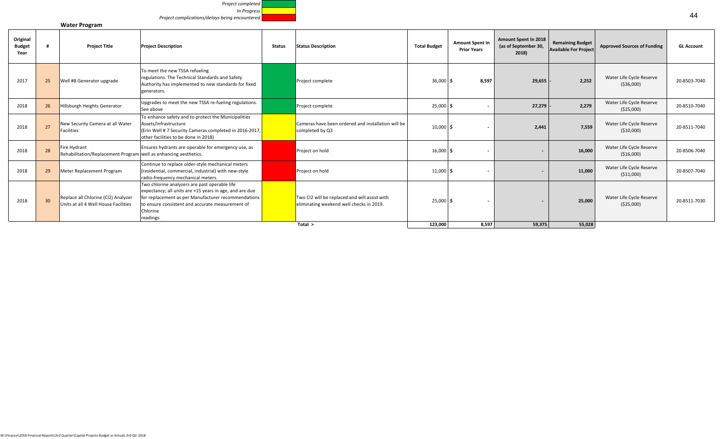

**Water Program**

| Original<br><b>Budget</b><br>Year |                 | <b>Project Title</b>                                                             | <b>Project Description</b>                                                                                                                                                                                                                   | <b>Status</b> | <b>Status Description</b>                                                                 | <b>Total Budget</b> | <b>Amount Spent In</b><br><b>Prior Years</b> | Amount Spent In 2018<br>(as of September 30,<br>2018) | <b>Remaining Budget</b><br><b>Available For Project</b> | <b>Approved Sources of Funding</b>      | <b>GL Account</b> |
|-----------------------------------|-----------------|----------------------------------------------------------------------------------|----------------------------------------------------------------------------------------------------------------------------------------------------------------------------------------------------------------------------------------------|---------------|-------------------------------------------------------------------------------------------|---------------------|----------------------------------------------|-------------------------------------------------------|---------------------------------------------------------|-----------------------------------------|-------------------|
| 2017                              | 25              | Well #8 Generator upgrade                                                        | To meet the new TSSA refueling<br>regulations. The Technical Standards and Safety<br>Authority has implemented to new standards for fixed<br>generators.                                                                                     |               | Project complete                                                                          | $36,000$ \$         | 8,597                                        | 29,655                                                | 2.252                                                   | Water Life Cycle Reserve<br>( \$36,000) | 20-8503-7040      |
| 2018                              | 26              | Hillsburgh Heights Generator                                                     | Upgrades to meet the new TSSA re-fueling regulations.<br>See above                                                                                                                                                                           |               | Project complete                                                                          | $25,000$ \$         |                                              | 27,279                                                | 2,279                                                   | Water Life Cycle Reserve<br>( \$25,000) | 20-8510-7040      |
| 2018                              | 27              | New Security Camera at all Water<br><b>Facilities</b>                            | To enhance safety and to protect the Municipalities<br>Assets/Infrastructure<br>(Erin Well # 7 Security Cameras completed in 2016-2017,<br>other facilities to be done in 2018)                                                              |               | Cameras have been ordered and installation will be<br>completed by Q3                     | $10,000$ \$         |                                              | 2,441                                                 | 7.559                                                   | Water Life Cycle Reserve<br>( \$10,000) | 20-8511-7040      |
| 2018                              | 28              | Fire Hydrant<br>Rehabilitation/Replacement Program well as enhancing aesthetics. | Ensures hydrants are operable for emergency use, as                                                                                                                                                                                          |               | Project on hold                                                                           | $16,000$ \$         |                                              |                                                       | 16,000                                                  | Water Life Cycle Reserve<br>( \$16,000) | 20-8506-7040      |
| 2018                              | 29              | Meter Replacement Program                                                        | Continue to replace older-style mechanical meters<br>(residential, commercial, industrial) with new-style<br>radio-frequency mechanical meters.                                                                                              |               | Project on hold                                                                           | $11,000$ \$         |                                              |                                                       | 11,000                                                  | Water Life Cycle Reserve<br>( \$11,000) | 20-8507-7040      |
| 2018                              | 30 <sup>°</sup> | Replace all Chlorine (Cl2) Analyzer<br>Units at all 4 Well House Facilities      | Two chlorine analyzers are past operable life<br>expectancy; all units are +15 years in age, and are due<br>for replacement as per Manufacturer recommendations<br>to ensure consistent and accurate measurement of<br>Chlorine<br>readings. |               | Two CI2 will be replaced and will assist with<br>eliminating weekend well checks in 2019. | $25,000$ \$         |                                              |                                                       | 25,000                                                  | Water Life Cycle Reserve<br>( \$25,000) | 20-8511-7030      |
|                                   |                 |                                                                                  |                                                                                                                                                                                                                                              |               | Total >                                                                                   | 123,000             | 8,597                                        | 59,375                                                | 55,028                                                  |                                         |                   |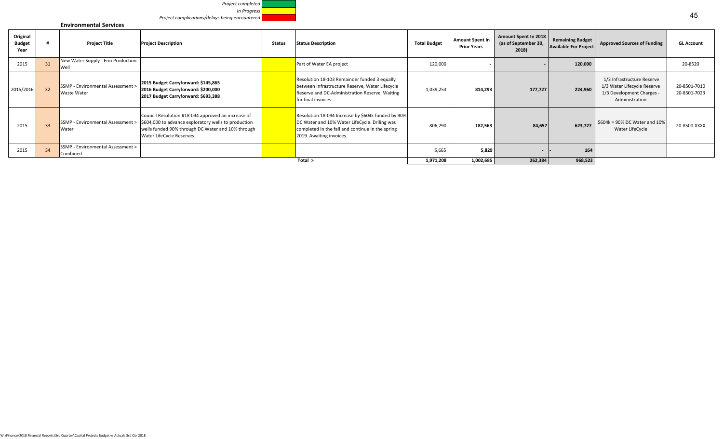

#### **Environmental Services**

| Original<br><b>Budget</b><br>Year |                 | <b>Project Title</b>                             | <b>Project Description</b>                                                                                                                                                                                                                               | <b>Status</b> | <b>Status Description</b>                                                                                                                                                           | <b>Total Budget</b> | <b>Amount Spent In</b><br><b>Prior Years</b> | Amount Spent In 2018<br>(as of September 30,<br>2018) | <b>Remaining Budget</b><br><b>Available For Project</b> | <b>Approved Sources of Funding</b>                                                                       | <b>GL Account</b>            |
|-----------------------------------|-----------------|--------------------------------------------------|----------------------------------------------------------------------------------------------------------------------------------------------------------------------------------------------------------------------------------------------------------|---------------|-------------------------------------------------------------------------------------------------------------------------------------------------------------------------------------|---------------------|----------------------------------------------|-------------------------------------------------------|---------------------------------------------------------|----------------------------------------------------------------------------------------------------------|------------------------------|
| 2015                              | 31              | New Water Supply - Erin Production<br>Well       |                                                                                                                                                                                                                                                          |               | Part of Water EA project                                                                                                                                                            | 120,000             |                                              |                                                       | 120,000                                                 |                                                                                                          | 20-8520                      |
| 2015/2016                         | 32              | SSMP - Environmental Assessment ><br>Waste Water | 2015 Budget Carryforward: \$145,865<br>2016 Budget Carryforward: \$200,000<br>2017 Budget Carryforward: \$693,388                                                                                                                                        |               | Resolution 18-103 Remainder funded 3 equally<br>between Infrastructure Reserve, Water Lifecycle<br>Reserve and DC-Administration Reserve. Waiting<br>for final invoices.            | 1,039,253           | 814,293                                      | 177,727                                               | 224,960                                                 | 1/3 Infrastructure Reserve<br>1/3 Water Lifecycle Reserve<br>1/3 Development Charges -<br>Administration | 20-8501-7010<br>20-8501-7023 |
| 2015                              | 33 <sup>°</sup> | Water                                            | Council Resolution #18-094 approved an increase of<br>SSMP - Environmental Assessment > $\left  \frac{604,000}{200} \right $ to advance exploratory wells to production<br>wells funded 90% through DC Water and 10% through<br>Water LifeCycle Reserves |               | Resolution 18-094 Increase by \$604k funded by 90%<br>DC Water and 10% Water LifeCycle. Driling was<br>completed in the fall and continue in the spring<br>2019. Awaiting invoices. | 806,290             | 182,563                                      | 84,657                                                | 623,727                                                 | $$604k = 90\%$ DC Water and 10%<br>Water LifeCycle                                                       | 20-8500-XXXX                 |
| 2015                              | 34              | SSMP - Environmental Assessment ><br>Combined    |                                                                                                                                                                                                                                                          |               |                                                                                                                                                                                     | 5,665               | 5,829                                        | $\sim$                                                | 164                                                     |                                                                                                          |                              |
|                                   |                 |                                                  |                                                                                                                                                                                                                                                          |               | Total $>$                                                                                                                                                                           | 1,971,208           | 1,002,685                                    | 262,384                                               | 968,523                                                 |                                                                                                          |                              |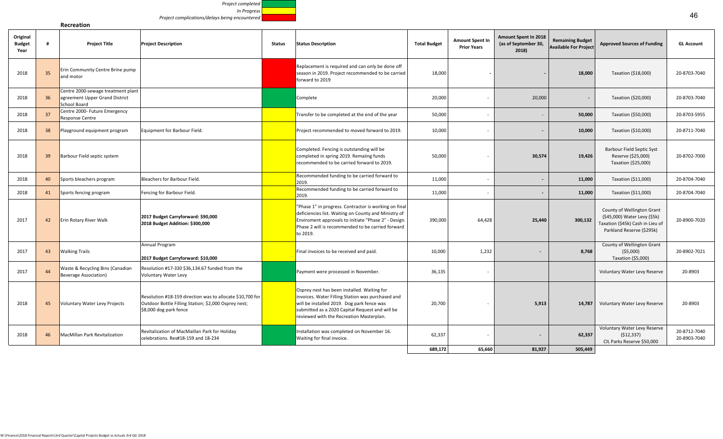*Project completed In Progress Project complications/delays being encountered*

**Recreation**

| Original<br><b>Budget</b><br>Year |    | <b>Project Title</b>                                                                 | <b>Project Description</b>                                                                                                                  | <b>Status</b> | <b>Status Description</b>                                                                                                                                                                                                                     | <b>Total Budget</b> | <b>Amount Spent In</b><br><b>Prior Years</b> | Amount Spent In 2018<br>(as of September 30,<br>2018) | <b>Remaining Budget</b><br><b>Available For Project</b> | <b>Approved Sources of Funding</b>                                                                                          | <b>GL Account</b>            |
|-----------------------------------|----|--------------------------------------------------------------------------------------|---------------------------------------------------------------------------------------------------------------------------------------------|---------------|-----------------------------------------------------------------------------------------------------------------------------------------------------------------------------------------------------------------------------------------------|---------------------|----------------------------------------------|-------------------------------------------------------|---------------------------------------------------------|-----------------------------------------------------------------------------------------------------------------------------|------------------------------|
| 2018                              | 35 | Erin Community Centre Brine pump<br>and motor                                        |                                                                                                                                             |               | Replacement is required and can only be done off<br>season in 2019. Project recommended to be carried<br>forward to 2019                                                                                                                      | 18,000              |                                              |                                                       | 18,000                                                  | Taxation (\$18,000)                                                                                                         | 20-8703-7040                 |
| 2018                              | 36 | Centre 2000-sewage treatment plant<br>agreement Upper Grand District<br>School Board |                                                                                                                                             |               | Complete                                                                                                                                                                                                                                      | 20,000              |                                              | 20,000                                                |                                                         | Taxation (\$20,000)                                                                                                         | 20-8703-7040                 |
| 2018                              | 37 | Centre 2000- Future Emergency<br>Response Centre                                     |                                                                                                                                             |               | Transfer to be completed at the end of the year                                                                                                                                                                                               | 50,000              |                                              | $\overline{\phantom{a}}$                              | 50,000                                                  | Taxation (\$50,000)                                                                                                         | 20-8703-5955                 |
| 2018                              | 38 | Playground equipment program                                                         | Equipment for Barbour Field.                                                                                                                |               | Project recommended to moved forward to 2019.                                                                                                                                                                                                 | 10,000              | ٠.                                           | $\overline{\phantom{a}}$                              | 10,000                                                  | Taxation (\$10,000)                                                                                                         | 20-8711-7040                 |
| 2018                              | 39 | Barbour Field septic system                                                          |                                                                                                                                             |               | Completed. Fencing is outstanding will be<br>completed in spring 2019. Remaiing funds<br>recommended to be carried forward to 2019.                                                                                                           | 50,000              |                                              | 30,574                                                | 19,426                                                  | <b>Barbour Field Septic Syst</b><br>Reserve (\$25,000)<br>Taxation (\$25,000)                                               | 20-8702-7000                 |
| 2018                              | 40 | Sports bleachers program                                                             | Bleachers for Barbour Field.                                                                                                                |               | Recommended funding to be carried forward to<br>2019.                                                                                                                                                                                         | 11,000              |                                              | $\overline{\phantom{a}}$                              | 11,000                                                  | Taxation (\$11,000)                                                                                                         | 20-8704-7040                 |
| 2018                              | 41 | Sports fencing program                                                               | Fencing for Barbour Field.                                                                                                                  |               | Recommended funding to be carried forward to<br>2019.                                                                                                                                                                                         | 11,000              |                                              | $\overline{\phantom{a}}$                              | 11,000                                                  | Taxation (\$11,000)                                                                                                         | 20-8704-7040                 |
| 2017                              | 42 | Erin Rotary River Walk                                                               | 2017 Budget Carryforward: \$90,000<br>2018 Budget Addition: \$300,000                                                                       |               | "Phase 1" in progress. Contractor is working on final<br>deficiencies list. Waiting on County and Ministry of<br>Enviroment approvals to initiate "Phase 2" - Design.<br>Phase 2 will is recommended to be carried forward<br>to 2019.        | 390,000             | 64,428                                       | 25,440                                                | 300,132                                                 | County of Wellington Grant<br>(\$45,000) Water Levy (\$5k)<br>Taxation (\$45k) Cash in Lieu of<br>Parkland Reserve (\$295k) | 20-8900-7020                 |
| 2017                              | 43 | <b>Walking Trails</b>                                                                | Annual Program<br>2017 Budget Carryforward: \$10,000                                                                                        |               | Final invoices to be received and paid.                                                                                                                                                                                                       | 10,000              | 1,232                                        | $\sim$                                                | 8,768                                                   | County of Wellington Grant<br>( \$5,000)<br>Taxation (\$5,000)                                                              | 20-8902-7021                 |
| 2017                              | 44 | Waste & Recycling Bins (Canadian<br><b>Beverage Association)</b>                     | Resolution #17-330 \$36,134.67 funded from the<br><b>Voluntary Water Levy</b>                                                               |               | Payment were processed in November.                                                                                                                                                                                                           | 36,135              |                                              |                                                       |                                                         | Voluntary Water Levy Reserve                                                                                                | 20-8903                      |
| 2018                              | 45 | Voluntary Water Levy Projects                                                        | Resolution #18-159 direction was to allocate \$10,700 for<br>Outdoor Bottle Filling Station; \$2,000 Osprey nest;<br>\$8,000 dog park fence |               | Osprey nest has been installed. Waiting for<br>invoices. Water Filling Station was purchased and<br>will be installed 2019. Dog park fence was<br>submitted as a 2020 Capital Request and will be<br>reviewed with the Recreation Masterplan. | 20,700              |                                              | 5,913                                                 | 14,787                                                  | Voluntary Water Levy Reserve                                                                                                | 20-8903                      |
| 2018                              | 46 | MacMillan Park Revitalization                                                        | Revitalization of MacMaillan Park for Holiday<br>celebrations. Res#18-159 and 18-234                                                        |               | Installation was completed on November 16.<br>Waiting for final invoice.                                                                                                                                                                      | 62,337              |                                              | $\sim$                                                | 62,337                                                  | Voluntary Water Levy Reserve<br>(512, 337)<br>CIL Parks Reserve \$50,000                                                    | 20-8712-7040<br>20-8903-7040 |
|                                   |    |                                                                                      |                                                                                                                                             |               |                                                                                                                                                                                                                                               | 689,172             | 65,660                                       | 81.927                                                | 505.449                                                 |                                                                                                                             |                              |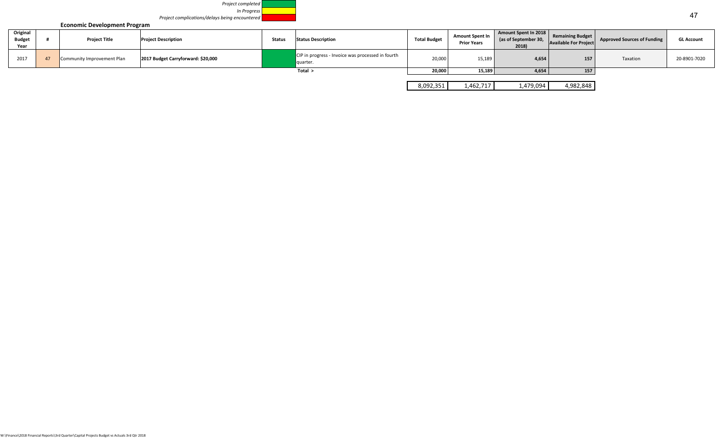

**Economic Development Program**

|                                   | <b>LUBRIC DEVELOPMENT FIVEL AND</b> |                                    |               |                                                               |                     |                                              |                                                       |                                                         |                                    |                   |
|-----------------------------------|-------------------------------------|------------------------------------|---------------|---------------------------------------------------------------|---------------------|----------------------------------------------|-------------------------------------------------------|---------------------------------------------------------|------------------------------------|-------------------|
| Original<br><b>Budget</b><br>Year | <b>Project Title</b>                | <b>Project Description</b>         | <b>Status</b> | <b>Status Description</b>                                     | <b>Total Budget</b> | <b>Amount Spent In</b><br><b>Prior Years</b> | Amount Spent In 2018<br>(as of September 30,<br>2018) | <b>Remaining Budget</b><br><b>Available For Project</b> | <b>Approved Sources of Funding</b> | <b>GL Account</b> |
| 2017                              | Community Improvement Plan          | 2017 Budget Carryforward: \$20,000 |               | CIP in progress - Invoice was processed in fourth<br>quarter. | 20.000              | 15,189                                       | 4,654                                                 | 157                                                     | Taxation                           | 20-8901-7020      |
|                                   |                                     |                                    |               | Total >                                                       | 20,000              | 15,189                                       | 4,654                                                 | 157                                                     |                                    |                   |

| na | 46° | ⊿∩ר<br>$\Lambda$<br>-, | 848<br>oo.<br>$\mathbf{A}$ |
|----|-----|------------------------|----------------------------|
|    |     |                        |                            |